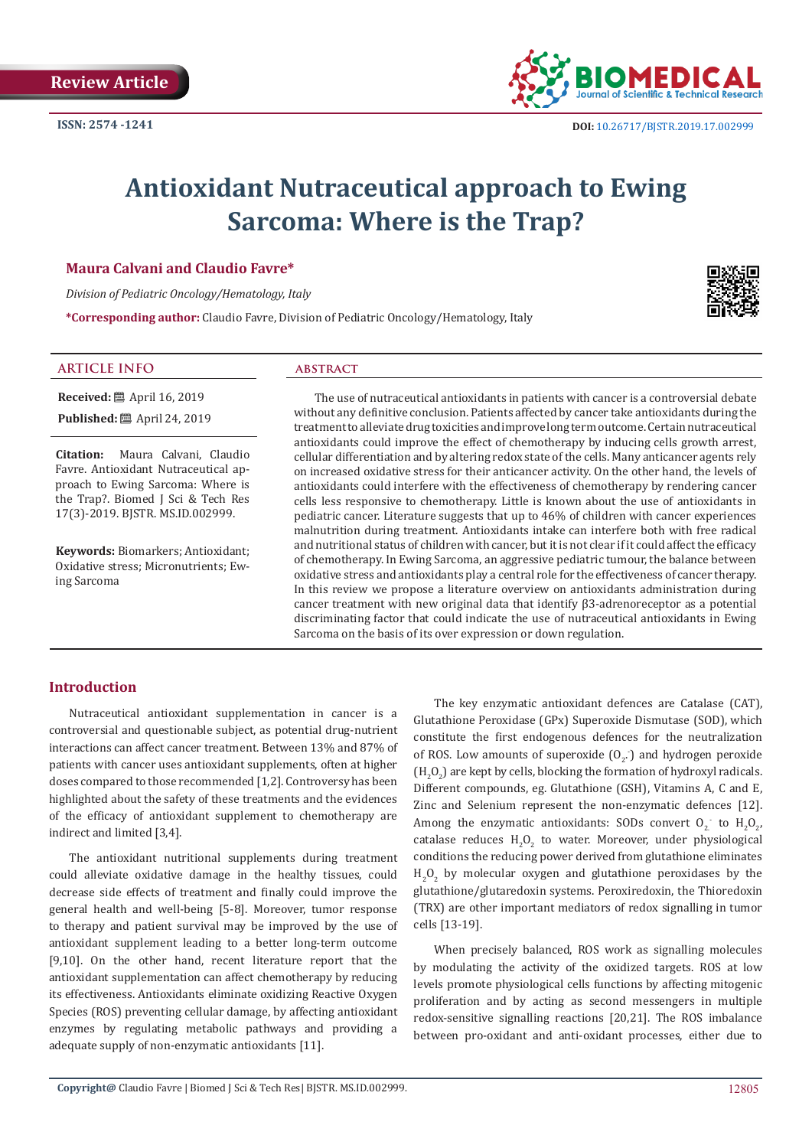

# **Antioxidant Nutraceutical approach to Ewing Sarcoma: Where is the Trap?**

#### **Maura Calvani and Claudio Favre\***

*Division of Pediatric Oncology/Hematology, Italy*

**\*Corresponding author:** Claudio Favre, Division of Pediatric Oncology/Hematology, Italy

### **ARTICLE INFO abstract**

**Published:**  $\blacksquare$  April 24, 2019

**Received:** ■ April 16, 2019

**Citation:** Maura Calvani, Claudio Favre. Antioxidant Nutraceutical approach to Ewing Sarcoma: Where is the Trap?. Biomed J Sci & Tech Res 17(3)-2019. BJSTR. MS.ID.002999.

**Keywords:** Biomarkers; Antioxidant; Oxidative stress; Micronutrients; Ewing Sarcoma

The use of nutraceutical antioxidants in patients with cancer is a controversial debate without any definitive conclusion. Patients affected by cancer take antioxidants during the treatment to alleviate drug toxicities and improve long term outcome. Certain nutraceutical antioxidants could improve the effect of chemotherapy by inducing cells growth arrest, cellular differentiation and by altering redox state of the cells. Many anticancer agents rely on increased oxidative stress for their anticancer activity. On the other hand, the levels of antioxidants could interfere with the effectiveness of chemotherapy by rendering cancer cells less responsive to chemotherapy. Little is known about the use of antioxidants in pediatric cancer. Literature suggests that up to 46% of children with cancer experiences malnutrition during treatment. Antioxidants intake can interfere both with free radical and nutritional status of children with cancer, but it is not clear if it could affect the efficacy of chemotherapy. In Ewing Sarcoma, an aggressive pediatric tumour, the balance between oxidative stress and antioxidants play a central role for the effectiveness of cancer therapy. In this review we propose a literature overview on antioxidants administration during cancer treatment with new original data that identify β3-adrenoreceptor as a potential discriminating factor that could indicate the use of nutraceutical antioxidants in Ewing Sarcoma on the basis of its over expression or down regulation.

### **Introduction**

Nutraceutical antioxidant supplementation in cancer is a controversial and questionable subject, as potential drug-nutrient interactions can affect cancer treatment. Between 13% and 87% of patients with cancer uses antioxidant supplements, often at higher doses compared to those recommended [1,2]. Controversy has been highlighted about the safety of these treatments and the evidences of the efficacy of antioxidant supplement to chemotherapy are indirect and limited [3,4].

The antioxidant nutritional supplements during treatment could alleviate oxidative damage in the healthy tissues, could decrease side effects of treatment and finally could improve the general health and well-being [5-8]. Moreover, tumor response to therapy and patient survival may be improved by the use of antioxidant supplement leading to a better long-term outcome [9,10]. On the other hand, recent literature report that the antioxidant supplementation can affect chemotherapy by reducing its effectiveness. Antioxidants eliminate oxidizing Reactive Oxygen Species (ROS) preventing cellular damage, by affecting antioxidant enzymes by regulating metabolic pathways and providing a adequate supply of non-enzymatic antioxidants [11].

The key enzymatic antioxidant defences are Catalase (CAT), Glutathione Peroxidase (GPx) Superoxide Dismutase (SOD), which constitute the first endogenous defences for the neutralization of ROS. Low amounts of superoxide  $(0_{2})$  and hydrogen peroxide  $(H_2O_2)$  are kept by cells, blocking the formation of hydroxyl radicals. Different compounds, eg. Glutathione (GSH), Vitamins A, C and E, Zinc and Selenium represent the non-enzymatic defences [12]. Among the enzymatic antioxidants: SODs convert  $O_2$  to  $H_2O_{2'}$ , catalase reduces  $H_2O_2$  to water. Moreover, under physiological conditions the reducing power derived from glutathione eliminates  $H_2O_2$  by molecular oxygen and glutathione peroxidases by the glutathione/glutaredoxin systems. Peroxiredoxin, the Thioredoxin (TRX) are other important mediators of redox signalling in tumor cells [13-19].

When precisely balanced, ROS work as signalling molecules by modulating the activity of the oxidized targets. ROS at low levels promote physiological cells functions by affecting mitogenic proliferation and by acting as second messengers in multiple redox-sensitive signalling reactions [20,21]. The ROS imbalance between pro-oxidant and anti-oxidant processes, either due to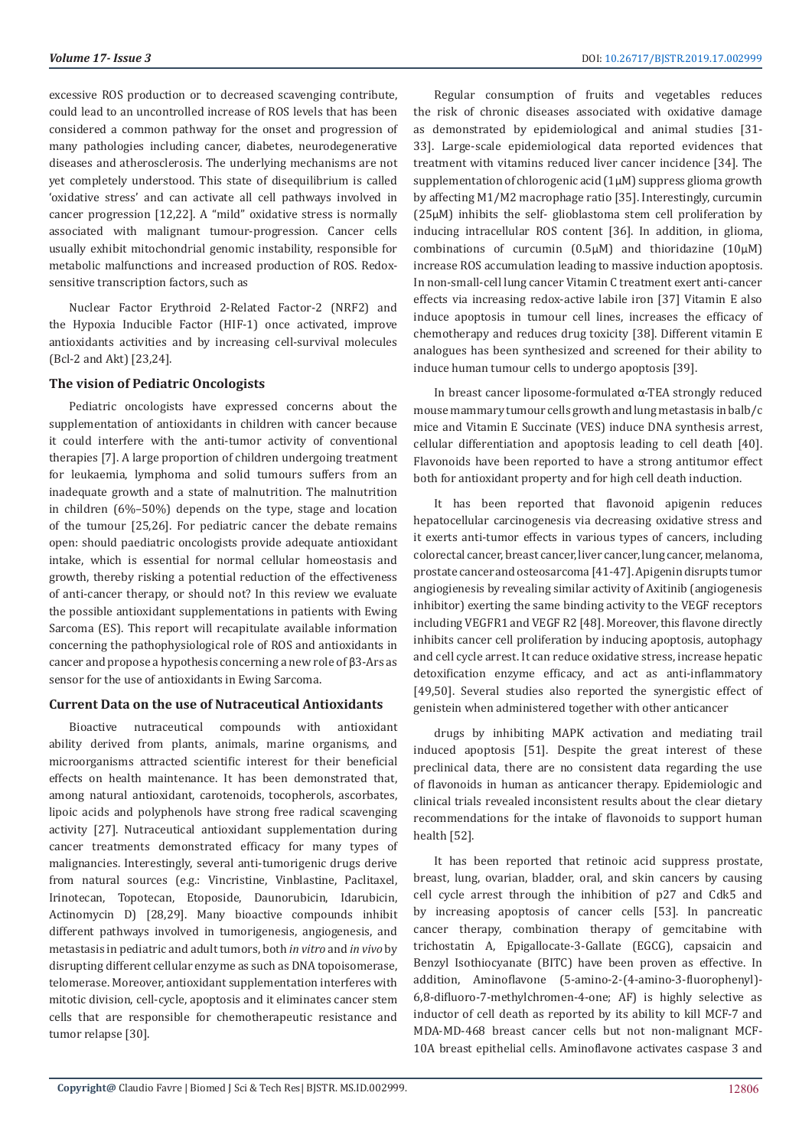**Volume 17- Issue 3** DOI: [10.26717/BJSTR.2019.17.002999](http://dx.doi.org/10.26717/BJSTR.2019.17.002999)

excessive ROS production or to decreased scavenging contribute, could lead to an uncontrolled increase of ROS levels that has been considered a common pathway for the onset and progression of many pathologies including cancer, diabetes, neurodegenerative diseases and atherosclerosis. The underlying mechanisms are not yet completely understood. This state of disequilibrium is called 'oxidative stress' and can activate all cell pathways involved in cancer progression [12,22]. A "mild" oxidative stress is normally associated with malignant tumour-progression. Cancer cells usually exhibit mitochondrial genomic instability, responsible for metabolic malfunctions and increased production of ROS. Redoxsensitive transcription factors, such as

Nuclear Factor Erythroid 2-Related Factor-2 (NRF2) and the Hypoxia Inducible Factor (HIF-1) once activated, improve antioxidants activities and by increasing cell-survival molecules (Bcl-2 and Akt) [23,24].

#### **The vision of Pediatric Oncologists**

Pediatric oncologists have expressed concerns about the supplementation of antioxidants in children with cancer because it could interfere with the anti-tumor activity of conventional therapies [7]. A large proportion of children undergoing treatment for leukaemia, lymphoma and solid tumours suffers from an inadequate growth and a state of malnutrition. The malnutrition in children (6%–50%) depends on the type, stage and location of the tumour [25,26]. For pediatric cancer the debate remains open: should paediatric oncologists provide adequate antioxidant intake, which is essential for normal cellular homeostasis and growth, thereby risking a potential reduction of the effectiveness of anti-cancer therapy, or should not? In this review we evaluate the possible antioxidant supplementations in patients with Ewing Sarcoma (ES). This report will recapitulate available information concerning the pathophysiological role of ROS and antioxidants in cancer and propose a hypothesis concerning a new role of β3-Ars as sensor for the use of antioxidants in Ewing Sarcoma.

#### **Current Data on the use of Nutraceutical Antioxidants**

Bioactive nutraceutical compounds with antioxidant ability derived from plants, animals, marine organisms, and microorganisms attracted scientific interest for their beneficial effects on health maintenance. It has been demonstrated that, among natural antioxidant, carotenoids, tocopherols, ascorbates, lipoic acids and polyphenols have strong free radical scavenging activity [27]. Nutraceutical antioxidant supplementation during cancer treatments demonstrated efficacy for many types of malignancies. Interestingly, several anti-tumorigenic drugs derive from natural sources (e.g.: Vincristine, Vinblastine, Paclitaxel, Irinotecan, Topotecan, Etoposide, Daunorubicin, Idarubicin, Actinomycin D) [28,29]. Many bioactive compounds inhibit different pathways involved in tumorigenesis, angiogenesis, and metastasis in pediatric and adult tumors, both *in vitro* and *in vivo* by disrupting different cellular enzyme as such as DNA topoisomerase, telomerase. Moreover, antioxidant supplementation interferes with mitotic division, cell-cycle, apoptosis and it eliminates cancer stem cells that are responsible for chemotherapeutic resistance and tumor relapse [30].

Regular consumption of fruits and vegetables reduces the risk of chronic diseases associated with oxidative damage as demonstrated by epidemiological and animal studies [31- 33]. Large-scale epidemiological data reported evidences that treatment with vitamins reduced liver cancer incidence [34]. The supplementation of chlorogenic acid (1µM) suppress glioma growth by affecting M1/M2 macrophage ratio [35]. Interestingly, curcumin (25µM) inhibits the self- glioblastoma stem cell proliferation by inducing intracellular ROS content [36]. In addition, in glioma, combinations of curcumin (0.5µM) and thioridazine (10µM) increase ROS accumulation leading to massive induction apoptosis. In non-small-cell lung cancer Vitamin C treatment exert anti-cancer effects via increasing redox-active labile iron [37] Vitamin E also induce apoptosis in tumour cell lines, increases the efficacy of chemotherapy and reduces drug toxicity [38]. Different vitamin E analogues has been synthesized and screened for their ability to induce human tumour cells to undergo apoptosis [39].

In breast cancer liposome-formulated α-TEA strongly reduced mouse mammary tumour cells growth and lung metastasis in balb/c mice and Vitamin E Succinate (VES) induce DNA synthesis arrest, cellular differentiation and apoptosis leading to cell death [40]. Flavonoids have been reported to have a strong antitumor effect both for antioxidant property and for high cell death induction.

It has been reported that flavonoid apigenin reduces hepatocellular carcinogenesis via decreasing oxidative stress and it exerts anti-tumor effects in various types of cancers, including colorectal cancer, breast cancer, liver cancer, lung cancer, melanoma, prostate cancer and osteosarcoma [41-47]. Apigenin disrupts tumor angiogienesis by revealing similar activity of Axitinib (angiogenesis inhibitor) exerting the same binding activity to the VEGF receptors including VEGFR1 and VEGF R2 [48]. Moreover, this flavone directly inhibits cancer cell proliferation by inducing apoptosis, autophagy and cell cycle arrest. It can reduce oxidative stress, increase hepatic detoxification enzyme efficacy, and act as anti-inflammatory [49,50]. Several studies also reported the synergistic effect of genistein when administered together with other anticancer

drugs by inhibiting MAPK activation and mediating trail induced apoptosis [51]. Despite the great interest of these preclinical data, there are no consistent data regarding the use of flavonoids in human as anticancer therapy. Epidemiologic and clinical trials revealed inconsistent results about the clear dietary recommendations for the intake of flavonoids to support human health [52].

It has been reported that retinoic acid suppress prostate, breast, lung, ovarian, bladder, oral, and skin cancers by causing cell cycle arrest through the inhibition of p27 and Cdk5 and by increasing apoptosis of cancer cells [53]. In pancreatic cancer therapy, combination therapy of gemcitabine with trichostatin A, Epigallocate-3-Gallate (EGCG), capsaicin and Benzyl Isothiocyanate (BITC) have been proven as effective. In addition, Aminoflavone (5-amino-2-(4-amino-3-fluorophenyl)- 6,8-difluoro-7-methylchromen-4-one; AF) is highly selective as inductor of cell death as reported by its ability to kill MCF-7 and MDA-MD-468 breast cancer cells but not non-malignant MCF-10A breast epithelial cells. Aminoflavone activates caspase 3 and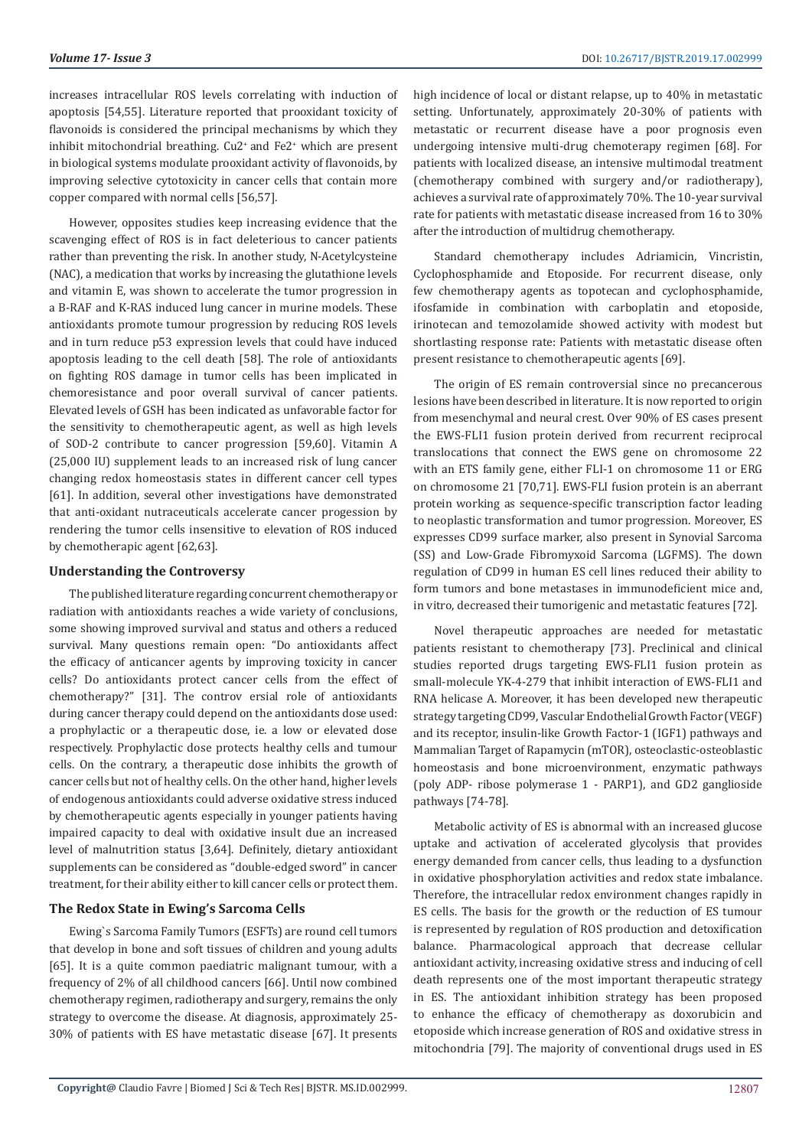increases intracellular ROS levels correlating with induction of apoptosis [54,55]. Literature reported that prooxidant toxicity of flavonoids is considered the principal mechanisms by which they inhibit mitochondrial breathing. Cu2+ and Fe2+ which are present in biological systems modulate prooxidant activity of flavonoids, by improving selective cytotoxicity in cancer cells that contain more copper compared with normal cells [56,57].

However, opposites studies keep increasing evidence that the scavenging effect of ROS is in fact deleterious to cancer patients rather than preventing the risk. In another study, N-Acetylcysteine (NAC), a medication that works by increasing the glutathione levels and vitamin E, was shown to accelerate the tumor progression in a B-RAF and K-RAS induced lung cancer in murine models. These antioxidants promote tumour progression by reducing ROS levels and in turn reduce p53 expression levels that could have induced apoptosis leading to the cell death [58]. The role of antioxidants on fighting ROS damage in tumor cells has been implicated in chemoresistance and poor overall survival of cancer patients. Elevated levels of GSH has been indicated as unfavorable factor for the sensitivity to chemotherapeutic agent, as well as high levels of SOD-2 contribute to cancer progression [59,60]. Vitamin A (25,000 IU) supplement leads to an increased risk of lung cancer changing redox homeostasis states in different cancer cell types [61]. In addition, several other investigations have demonstrated that anti-oxidant nutraceuticals accelerate cancer progession by rendering the tumor cells insensitive to elevation of ROS induced by chemotherapic agent [62,63].

#### **Understanding the Controversy**

The published literature regarding concurrent chemotherapy or radiation with antioxidants reaches a wide variety of conclusions, some showing improved survival and status and others a reduced survival. Many questions remain open: "Do antioxidants affect the efficacy of anticancer agents by improving toxicity in cancer cells? Do antioxidants protect cancer cells from the effect of chemotherapy?" [31]. The controv ersial role of antioxidants during cancer therapy could depend on the antioxidants dose used: a prophylactic or a therapeutic dose, ie. a low or elevated dose respectively. Prophylactic dose protects healthy cells and tumour cells. On the contrary, a therapeutic dose inhibits the growth of cancer cells but not of healthy cells. On the other hand, higher levels of endogenous antioxidants could adverse oxidative stress induced by chemotherapeutic agents especially in younger patients having impaired capacity to deal with oxidative insult due an increased level of malnutrition status [3,64]. Definitely, dietary antioxidant supplements can be considered as "double-edged sword" in cancer treatment, for their ability either to kill cancer cells or protect them.

## **The Redox State in Ewing's Sarcoma Cells**

Ewing`s Sarcoma Family Tumors (ESFTs) are round cell tumors that develop in bone and soft tissues of children and young adults [65]. It is a quite common paediatric malignant tumour, with a frequency of 2% of all childhood cancers [66]. Until now combined chemotherapy regimen, radiotherapy and surgery, remains the only strategy to overcome the disease. At diagnosis, approximately 25- 30% of patients with ES have metastatic disease [67]. It presents

high incidence of local or distant relapse, up to 40% in metastatic setting. Unfortunately, approximately 20-30% of patients with metastatic or recurrent disease have a poor prognosis even undergoing intensive multi-drug chemoterapy regimen [68]. For patients with localized disease, an intensive multimodal treatment (chemotherapy combined with surgery and/or radiotherapy), achieves a survival rate of approximately 70%. The 10-year survival rate for patients with metastatic disease increased from 16 to 30% after the introduction of multidrug chemotherapy.

Standard chemotherapy includes Adriamicin, Vincristin, Cyclophosphamide and Etoposide. For recurrent disease, only few chemotherapy agents as topotecan and cyclophosphamide, ifosfamide in combination with carboplatin and etoposide, irinotecan and temozolamide showed activity with modest but shortlasting response rate: Patients with metastatic disease often present resistance to chemotherapeutic agents [69].

The origin of ES remain controversial since no precancerous lesions have been described in literature. It is now reported to origin from mesenchymal and neural crest. Over 90% of ES cases present the EWS-FLI1 fusion protein derived from recurrent reciprocal translocations that connect the EWS gene on chromosome 22 with an ETS family gene, either FLI-1 on chromosome 11 or ERG on chromosome 21 [70,71]. EWS-FLI fusion protein is an aberrant protein working as sequence-specific transcription factor leading to neoplastic transformation and tumor progression. Moreover, ES expresses CD99 surface marker, also present in Synovial Sarcoma (SS) and Low-Grade Fibromyxoid Sarcoma (LGFMS). The down regulation of CD99 in human ES cell lines reduced their ability to form tumors and bone metastases in immunodeficient mice and, in vitro, decreased their tumorigenic and metastatic features [72].

Novel therapeutic approaches are needed for metastatic patients resistant to chemotherapy [73]. Preclinical and clinical studies reported drugs targeting EWS-FLI1 fusion protein as small-molecule YK-4-279 that inhibit interaction of EWS-FLI1 and RNA helicase A. Moreover, it has been developed new therapeutic strategy targeting CD99, Vascular Endothelial Growth Factor (VEGF) and its receptor, insulin-like Growth Factor-1 (IGF1) pathways and Mammalian Target of Rapamycin (mTOR), osteoclastic-osteoblastic homeostasis and bone microenvironment, enzymatic pathways (poly ADP- ribose polymerase 1 - PARP1), and GD2 ganglioside pathways [74-78].

Metabolic activity of ES is abnormal with an increased glucose uptake and activation of accelerated glycolysis that provides energy demanded from cancer cells, thus leading to a dysfunction in oxidative phosphorylation activities and redox state imbalance. Therefore, the intracellular redox environment changes rapidly in ES cells. The basis for the growth or the reduction of ES tumour is represented by regulation of ROS production and detoxification balance. Pharmacological approach that decrease cellular antioxidant activity, increasing oxidative stress and inducing of cell death represents one of the most important therapeutic strategy in ES. The antioxidant inhibition strategy has been proposed to enhance the efficacy of chemotherapy as doxorubicin and etoposide which increase generation of ROS and oxidative stress in mitochondria [79]. The majority of conventional drugs used in ES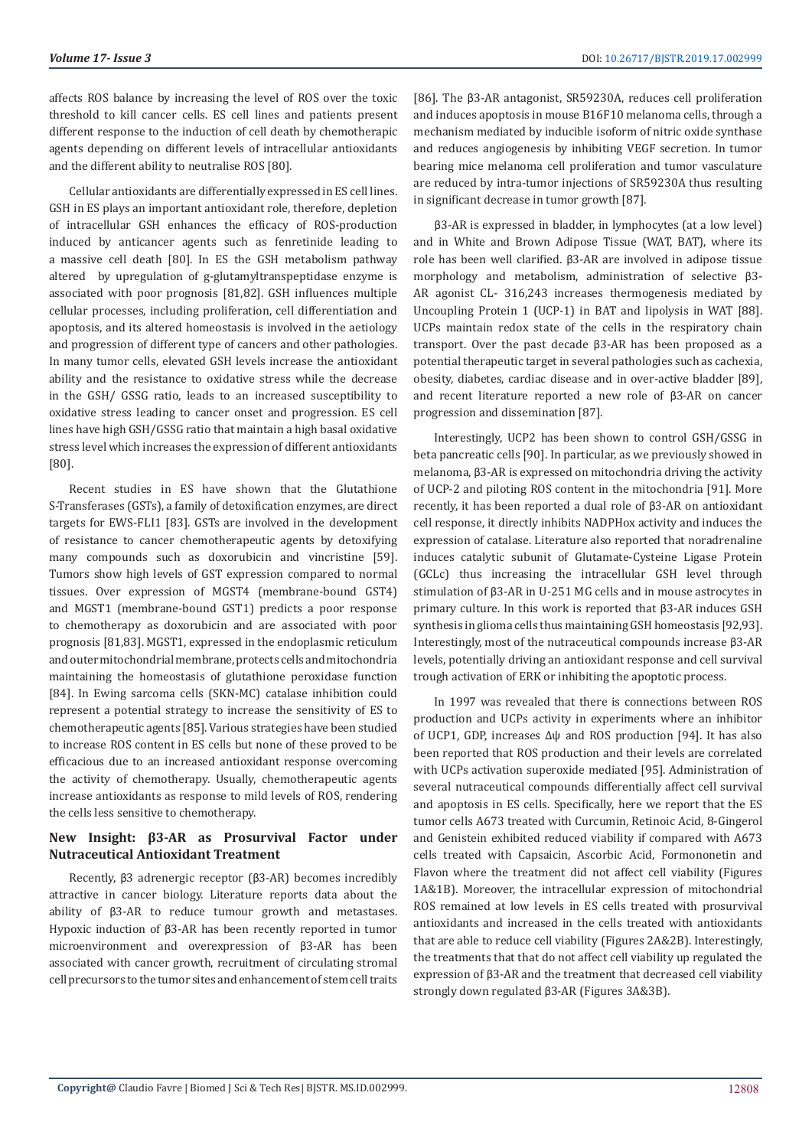affects ROS balance by increasing the level of ROS over the toxic threshold to kill cancer cells. ES cell lines and patients present different response to the induction of cell death by chemotherapic agents depending on different levels of intracellular antioxidants and the different ability to neutralise ROS [80].

Cellular antioxidants are differentially expressed in ES cell lines. GSH in ES plays an important antioxidant role, therefore, depletion of intracellular GSH enhances the efficacy of ROS-production induced by anticancer agents such as fenretinide leading to a massive cell death [80]. In ES the GSH metabolism pathway altered by upregulation of g-glutamyltranspeptidase enzyme is associated with poor prognosis [81,82]. GSH influences multiple cellular processes, including proliferation, cell differentiation and apoptosis, and its altered homeostasis is involved in the aetiology and progression of different type of cancers and other pathologies. In many tumor cells, elevated GSH levels increase the antioxidant ability and the resistance to oxidative stress while the decrease in the GSH/ GSSG ratio, leads to an increased susceptibility to oxidative stress leading to cancer onset and progression. ES cell lines have high GSH/GSSG ratio that maintain a high basal oxidative stress level which increases the expression of different antioxidants [80].

Recent studies in ES have shown that the Glutathione S-Transferases (GSTs), a family of detoxification enzymes, are direct targets for EWS-FLI1 [83]. GSTs are involved in the development of resistance to cancer chemotherapeutic agents by detoxifying many compounds such as doxorubicin and vincristine [59]. Tumors show high levels of GST expression compared to normal tissues. Over expression of MGST4 (membrane-bound GST4) and MGST1 (membrane-bound GST1) predicts a poor response to chemotherapy as doxorubicin and are associated with poor prognosis [81,83]. MGST1, expressed in the endoplasmic reticulum and outer mitochondrial membrane, protects cells and mitochondria maintaining the homeostasis of glutathione peroxidase function [84]. In Ewing sarcoma cells (SKN-MC) catalase inhibition could represent a potential strategy to increase the sensitivity of ES to chemotherapeutic agents [85]. Various strategies have been studied to increase ROS content in ES cells but none of these proved to be efficacious due to an increased antioxidant response overcoming the activity of chemotherapy. Usually, chemotherapeutic agents increase antioxidants as response to mild levels of ROS, rendering the cells less sensitive to chemotherapy.

## **New Insight: β3-AR as Prosurvival Factor under Nutraceutical Antioxidant Treatment**

Recently, β3 adrenergic receptor (β3-AR) becomes incredibly attractive in cancer biology. Literature reports data about the ability of β3-AR to reduce tumour growth and metastases. Hypoxic induction of β3-AR has been recently reported in tumor microenvironment and overexpression of β3-AR has been associated with cancer growth, recruitment of circulating stromal cell precursors to the tumor sites and enhancement of stem cell traits

[86]. The β3-AR antagonist, SR59230A, reduces cell proliferation and induces apoptosis in mouse B16F10 melanoma cells, through a mechanism mediated by inducible isoform of nitric oxide synthase and reduces angiogenesis by inhibiting VEGF secretion. In tumor bearing mice melanoma cell proliferation and tumor vasculature are reduced by intra-tumor injections of SR59230A thus resulting in significant decrease in tumor growth [87].

β3-AR is expressed in bladder, in lymphocytes (at a low level) and in White and Brown Adipose Tissue (WAT, BAT), where its role has been well clarified. β3-AR are involved in adipose tissue morphology and metabolism, administration of selective β3- AR agonist CL- 316,243 increases thermogenesis mediated by Uncoupling Protein 1 (UCP-1) in BAT and lipolysis in WAT [88]. UCPs maintain redox state of the cells in the respiratory chain transport. Over the past decade β3-AR has been proposed as a potential therapeutic target in several pathologies such as cachexia, obesity, diabetes, cardiac disease and in over-active bladder [89], and recent literature reported a new role of β3-AR on cancer progression and dissemination [87].

Interestingly, UCP2 has been shown to control GSH/GSSG in beta pancreatic cells [90]. In particular, as we previously showed in melanoma, β3-AR is expressed on mitochondria driving the activity of UCP-2 and piloting ROS content in the mitochondria [91]. More recently, it has been reported a dual role of β3-AR on antioxidant cell response, it directly inhibits NADPHox activity and induces the expression of catalase. Literature also reported that noradrenaline induces catalytic subunit of Glutamate-Cysteine Ligase Protein (GCLc) thus increasing the intracellular GSH level through stimulation of β3-AR in U-251 MG cells and in mouse astrocytes in primary culture. In this work is reported that β3-AR induces GSH synthesis in glioma cells thus maintaining GSH homeostasis [92,93]. Interestingly, most of the nutraceutical compounds increase β3-AR levels, potentially driving an antioxidant response and cell survival trough activation of ERK or inhibiting the apoptotic process.

In 1997 was revealed that there is connections between ROS production and UCPs activity in experiments where an inhibitor of UCP1, GDP, increases ∆ψ and ROS production [94]. It has also been reported that ROS production and their levels are correlated with UCPs activation superoxide mediated [95]. Administration of several nutraceutical compounds differentially affect cell survival and apoptosis in ES cells. Specifically, here we report that the ES tumor cells A673 treated with Curcumin, Retinoic Acid, 8-Gingerol and Genistein exhibited reduced viability if compared with A673 cells treated with Capsaicin, Ascorbic Acid, Formononetin and Flavon where the treatment did not affect cell viability (Figures 1A&1B). Moreover, the intracellular expression of mitochondrial ROS remained at low levels in ES cells treated with prosurvival antioxidants and increased in the cells treated with antioxidants that are able to reduce cell viability (Figures 2A&2B). Interestingly, the treatments that that do not affect cell viability up regulated the expression of β3-AR and the treatment that decreased cell viability strongly down regulated β3-AR (Figures 3A&3B).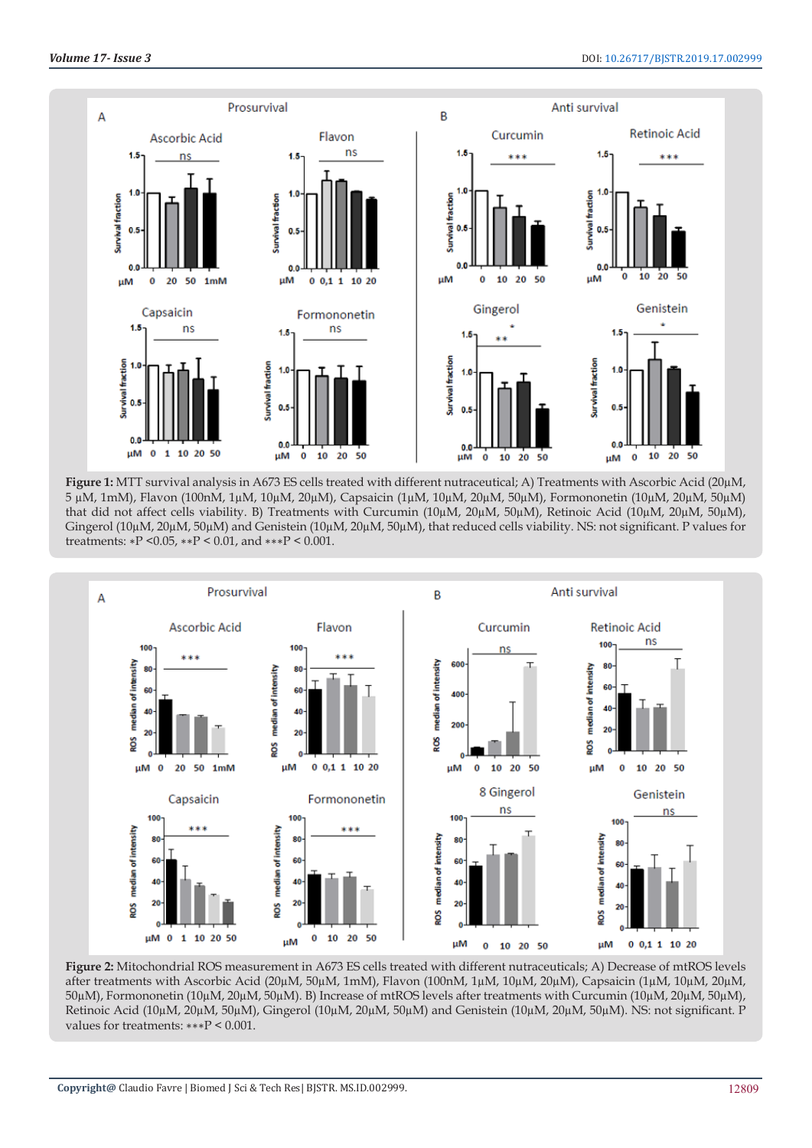

**Figure 1:** MTT survival analysis in A673 ES cells treated with different nutraceutical; A) Treatments with Ascorbic Acid (20µM, 5 µM, 1mM), Flavon (100nM, 1µM, 10µM, 20µM), Capsaicin (1µM, 10µM, 20µM, 50µM), Formononetin (10µM, 20µM, 50µM) that did not affect cells viability. B) Treatments with Curcumin (10µM, 20µM, 50µM), Retinoic Acid (10µM, 20µM, 50µM), Gingerol (10µM, 20µM, 50µM) and Genistein (10µM, 20µM, 50µM), that reduced cells viability. NS: not significant. P values for treatments: ∗P <0.05, ∗∗P < 0.01, and ∗∗∗P < 0.001.



**Figure 2:** Mitochondrial ROS measurement in A673 ES cells treated with different nutraceuticals; A) Decrease of mtROS levels after treatments with Ascorbic Acid (20µM, 50µM, 1mM), Flavon (100nM, 1µM, 10µM, 20µM), Capsaicin (1µM, 10µM, 20µM, 50µM), Formononetin (10µM, 20µM, 50µM). B) Increase of mtROS levels after treatments with Curcumin (10µM, 20µM, 50µM), Retinoic Acid (10µM, 20µM, 50µM), Gingerol (10µM, 20µM, 50µM) and Genistein (10µM, 20µM, 50µM). NS: not significant. P values for treatments: ∗∗∗P < 0.001.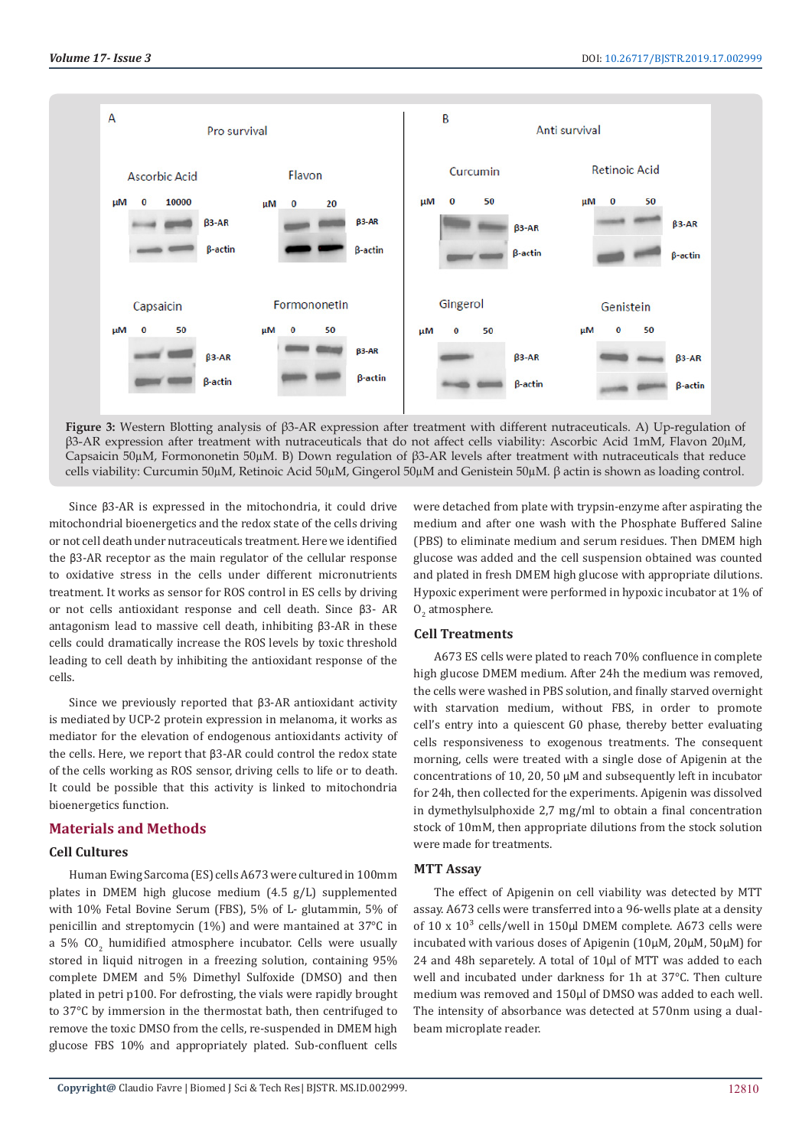

**Figure 3:** Western Blotting analysis of β3-AR expression after treatment with different nutraceuticals. A) Up-regulation of β3-AR expression after treatment with nutraceuticals that do not affect cells viability: Ascorbic Acid 1mM, Flavon 20µM, Capsaicin 50µM, Formononetin 50µM. B) Down regulation of β3-AR levels after treatment with nutraceuticals that reduce cells viability: Curcumin 50µM, Retinoic Acid 50µM, Gingerol 50µM and Genistein 50µM. β actin is shown as loading control.

Since β3-AR is expressed in the mitochondria, it could drive mitochondrial bioenergetics and the redox state of the cells driving or not cell death under nutraceuticals treatment. Here we identified the β3-AR receptor as the main regulator of the cellular response to oxidative stress in the cells under different micronutrients treatment. It works as sensor for ROS control in ES cells by driving or not cells antioxidant response and cell death. Since β3- AR antagonism lead to massive cell death, inhibiting β3-AR in these cells could dramatically increase the ROS levels by toxic threshold leading to cell death by inhibiting the antioxidant response of the cells.

Since we previously reported that β3-AR antioxidant activity is mediated by UCP-2 protein expression in melanoma, it works as mediator for the elevation of endogenous antioxidants activity of the cells. Here, we report that β3-AR could control the redox state of the cells working as ROS sensor, driving cells to life or to death. It could be possible that this activity is linked to mitochondria bioenergetics function.

## **Materials and Methods**

#### **Cell Cultures**

Human Ewing Sarcoma (ES) cells A673 were cultured in 100mm plates in DMEM high glucose medium (4.5 g/L) supplemented with 10% Fetal Bovine Serum (FBS), 5% of L- glutammin, 5% of penicillin and streptomycin (1%) and were mantained at 37°C in a 5% CO $_2$  humidified atmosphere incubator. Cells were usually stored in liquid nitrogen in a freezing solution, containing 95% complete DMEM and 5% Dimethyl Sulfoxide (DMSO) and then plated in petri p100. For defrosting, the vials were rapidly brought to 37°C by immersion in the thermostat bath, then centrifuged to remove the toxic DMSO from the cells, re-suspended in DMEM high glucose FBS 10% and appropriately plated. Sub-confluent cells

were detached from plate with trypsin-enzyme after aspirating the medium and after one wash with the Phosphate Buffered Saline (PBS) to eliminate medium and serum residues. Then DMEM high glucose was added and the cell suspension obtained was counted and plated in fresh DMEM high glucose with appropriate dilutions. Hypoxic experiment were performed in hypoxic incubator at 1% of  $O_2$  atmosphere.

## **Cell Treatments**

A673 ES cells were plated to reach 70% confluence in complete high glucose DMEM medium. After 24h the medium was removed, the cells were washed in PBS solution, and finally starved overnight with starvation medium, without FBS, in order to promote cell's entry into a quiescent G0 phase, thereby better evaluating cells responsiveness to exogenous treatments. The consequent morning, cells were treated with a single dose of Apigenin at the concentrations of 10, 20, 50 µM and subsequently left in incubator for 24h, then collected for the experiments. Apigenin was dissolved in dymethylsulphoxide 2,7 mg/ml to obtain a final concentration stock of 10mM, then appropriate dilutions from the stock solution were made for treatments.

## **MTT Assay**

The effect of Apigenin on cell viability was detected by MTT assay. A673 cells were transferred into a 96-wells plate at a density of 10 x  $10<sup>3</sup>$  cells/well in 150 $\mu$ l DMEM complete. A673 cells were incubated with various doses of Apigenin (10µM, 20µM, 50µM) for 24 and 48h separetely. A total of 10µl of MTT was added to each well and incubated under darkness for 1h at 37°C. Then culture medium was removed and 150µl of DMSO was added to each well. The intensity of absorbance was detected at 570nm using a dualbeam microplate reader.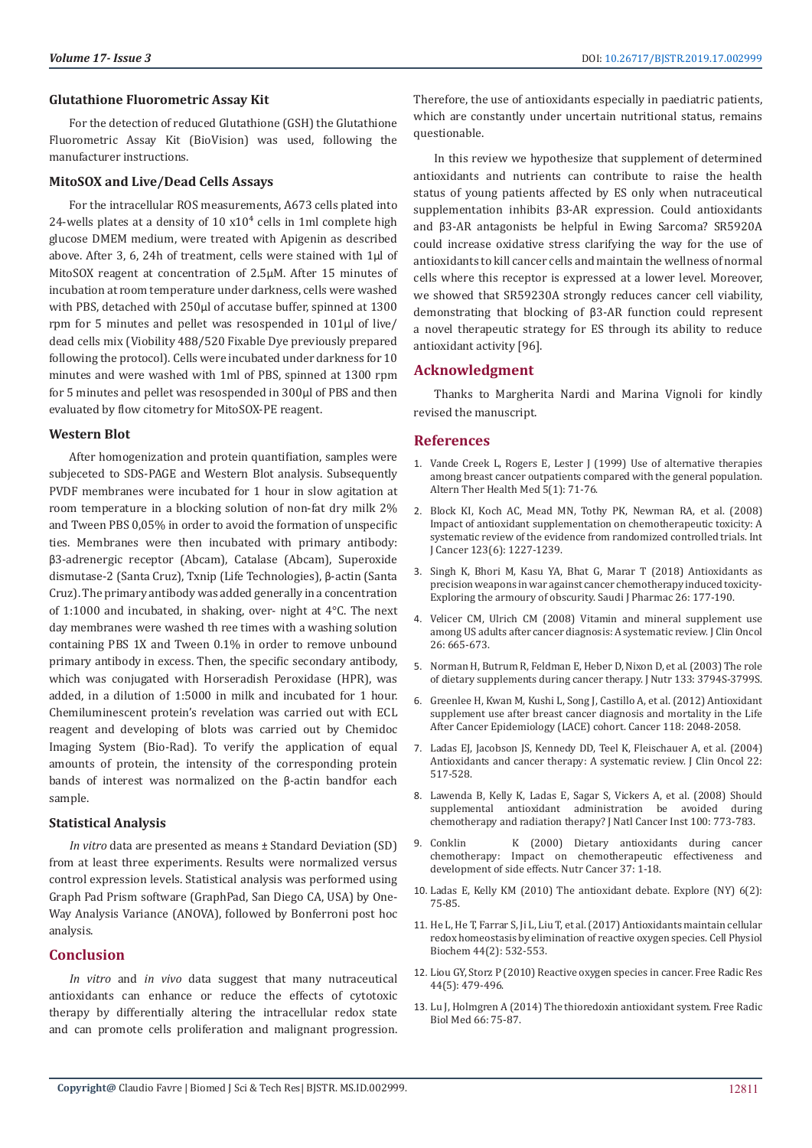#### **Glutathione Fluorometric Assay Kit**

For the detection of reduced Glutathione (GSH) the Glutathione Fluorometric Assay Kit (BioVision) was used, following the manufacturer instructions.

#### **MitoSOX and Live/Dead Cells Assays**

For the intracellular ROS measurements, A673 cells plated into 24-wells plates at a density of  $10 \times 10^4$  cells in 1ml complete high glucose DMEM medium, were treated with Apigenin as described above. After 3, 6, 24h of treatment, cells were stained with 1µl of MitoSOX reagent at concentration of 2.5µM. After 15 minutes of incubation at room temperature under darkness, cells were washed with PBS, detached with 250µl of accutase buffer, spinned at 1300 rpm for 5 minutes and pellet was resospended in 101µl of live/ dead cells mix (Viobility 488/520 Fixable Dye previously prepared following the protocol). Cells were incubated under darkness for 10 minutes and were washed with 1ml of PBS, spinned at 1300 rpm for 5 minutes and pellet was resospended in 300µl of PBS and then evaluated by flow citometry for MitoSOX-PE reagent.

#### **Western Blot**

After homogenization and protein quantifiation, samples were subjeceted to SDS-PAGE and Western Blot analysis. Subsequently PVDF membranes were incubated for 1 hour in slow agitation at room temperature in a blocking solution of non-fat dry milk 2% and Tween PBS 0,05% in order to avoid the formation of unspecific ties. Membranes were then incubated with primary antibody: β3-adrenergic receptor (Abcam), Catalase (Abcam), Superoxide dismutase-2 (Santa Cruz), Txnip (Life Technologies), β-actin (Santa Cruz). The primary antibody was added generally in a concentration of 1:1000 and incubated, in shaking, over- night at 4°C. The next day membranes were washed th ree times with a washing solution containing PBS 1X and Tween 0.1% in order to remove unbound primary antibody in excess. Then, the specific secondary antibody, which was conjugated with Horseradish Peroxidase (HPR), was added, in a dilution of 1:5000 in milk and incubated for 1 hour. Chemiluminescent protein's revelation was carried out with ECL reagent and developing of blots was carried out by Chemidoc Imaging System (Bio-Rad). To verify the application of equal amounts of protein, the intensity of the corresponding protein bands of interest was normalized on the β-actin bandfor each sample.

#### **Statistical Analysis**

*In vitro* data are presented as means ± Standard Deviation (SD) from at least three experiments. Results were normalized versus control expression levels. Statistical analysis was performed using Graph Pad Prism software (GraphPad, San Diego CA, USA) by One-Way Analysis Variance (ANOVA), followed by Bonferroni post hoc analysis.

### **Conclusion**

*In vitro* and *in vivo* data suggest that many nutraceutical antioxidants can enhance or reduce the effects of cytotoxic therapy by differentially altering the intracellular redox state and can promote cells proliferation and malignant progression.

Therefore, the use of antioxidants especially in paediatric patients, which are constantly under uncertain nutritional status, remains questionable.

In this review we hypothesize that supplement of determined antioxidants and nutrients can contribute to raise the health status of young patients affected by ES only when nutraceutical supplementation inhibits β3-AR expression. Could antioxidants and β3-AR antagonists be helpful in Ewing Sarcoma? SR5920A could increase oxidative stress clarifying the way for the use of antioxidants to kill cancer cells and maintain the wellness of normal cells where this receptor is expressed at a lower level. Moreover, we showed that SR59230A strongly reduces cancer cell viability, demonstrating that blocking of β3-AR function could represent a novel therapeutic strategy for ES through its ability to reduce antioxidant activity [96].

#### **Acknowledgment**

Thanks to Margherita Nardi and Marina Vignoli for kindly revised the manuscript.

## **References**

- 1. [Vande Creek L, Rogers E, Lester J \(1999\) Use of alternative therapies](https://www.ncbi.nlm.nih.gov/pubmed/9893318) [among breast cancer outpatients compared with the general population.](https://www.ncbi.nlm.nih.gov/pubmed/9893318) [Altern Ther Health Med 5\(1\): 71-76.](https://www.ncbi.nlm.nih.gov/pubmed/9893318)
- 2. [Block KI, Koch AC, Mead MN, Tothy PK, Newman RA, et al. \(2008\)](https://www.ncbi.nlm.nih.gov/pubmed/18623084) [Impact of antioxidant supplementation on chemotherapeutic toxicity: A](https://www.ncbi.nlm.nih.gov/pubmed/18623084) [systematic review of the evidence from randomized controlled trials. Int](https://www.ncbi.nlm.nih.gov/pubmed/18623084) [J Cancer 123\(6\): 1227-1239.](https://www.ncbi.nlm.nih.gov/pubmed/18623084)
- 3. [Singh K, Bhori M, Kasu YA, Bhat G, Marar T \(2018\) Antioxidants as](https://www.ncbi.nlm.nih.gov/pubmed/30166914) [precision weapons in war against cancer chemotherapy induced toxicity-](https://www.ncbi.nlm.nih.gov/pubmed/30166914)[Exploring the armoury of obscurity. Saudi J Pharmac 26: 177-190.](https://www.ncbi.nlm.nih.gov/pubmed/30166914)
- 4. [Velicer CM, Ulrich CM \(2008\) Vitamin and mineral supplement use](https://www.ncbi.nlm.nih.gov/pubmed/18235127) [among US adults after cancer diagnosis: A systematic review. J Clin Oncol](https://www.ncbi.nlm.nih.gov/pubmed/18235127) [26: 665-673.](https://www.ncbi.nlm.nih.gov/pubmed/18235127)
- 5. [Norman H, Butrum R, Feldman E, Heber D, Nixon D, et al. \(2003\) The role](https://www.ncbi.nlm.nih.gov/pubmed/14608116) [of dietary supplements during cancer therapy. J Nutr 133: 3794S-3799S.](https://www.ncbi.nlm.nih.gov/pubmed/14608116)
- 6. [Greenlee H, Kwan M, Kushi L, Song J, Castillo A, et al. \(2012\) Antioxidant](https://www.ncbi.nlm.nih.gov/pubmed/21953120) [supplement use after breast cancer diagnosis and mortality in the Life](https://www.ncbi.nlm.nih.gov/pubmed/21953120) [After Cancer Epidemiology \(LACE\) cohort. Cancer 118: 2048-2058.](https://www.ncbi.nlm.nih.gov/pubmed/21953120)
- 7. [Ladas EJ, Jacobson JS, Kennedy DD, Teel K, Fleischauer A, et al. \(2004\)](https://www.ncbi.nlm.nih.gov/pubmed/14752075) [Antioxidants and cancer therapy: A systematic review. J Clin Oncol 22:](https://www.ncbi.nlm.nih.gov/pubmed/14752075) [517-528.](https://www.ncbi.nlm.nih.gov/pubmed/14752075)
- 8. [Lawenda B, Kelly K, Ladas E, Sagar S, Vickers A, et al. \(2008\) Should](https://www.ncbi.nlm.nih.gov/pubmed/18505970) [supplemental antioxidant administration be avoided during](https://www.ncbi.nlm.nih.gov/pubmed/18505970) [chemotherapy and radiation therapy? J Natl Cancer Inst 100: 773-783.](https://www.ncbi.nlm.nih.gov/pubmed/18505970)
- 9. Conklin [K \(2000\) Dietary antioxidants during cancer](https://www.ncbi.nlm.nih.gov/pubmed/10965514) [chemotherapy: Impact on chemotherapeutic effectiveness and](https://www.ncbi.nlm.nih.gov/pubmed/10965514) [development of side effects. Nutr Cancer 37: 1-18.](https://www.ncbi.nlm.nih.gov/pubmed/10965514)
- 10. [Ladas E, Kelly KM \(2010\) The antioxidant debate. Explore \(NY\) 6\(2\):](https://www.ncbi.nlm.nih.gov/pubmed/20362265) [75-85.](https://www.ncbi.nlm.nih.gov/pubmed/20362265)
- 11. [He L, He T, Farrar S, Ji L, Liu T, et al. \(2017\) Antioxidants maintain cellular](https://www.ncbi.nlm.nih.gov/pubmed/29145191) [redox homeostasis by elimination of reactive oxygen species. Cell Physiol](https://www.ncbi.nlm.nih.gov/pubmed/29145191) [Biochem 44\(2\): 532-553.](https://www.ncbi.nlm.nih.gov/pubmed/29145191)
- 12. [Liou GY, Storz P \(2010\) Reactive oxygen species in cancer. Free Radic Res](https://www.ncbi.nlm.nih.gov/pubmed/20370557) [44\(5\): 479-496.](https://www.ncbi.nlm.nih.gov/pubmed/20370557)
- 13. [Lu J, Holmgren A \(2014\) The thioredoxin antioxidant system. Free Radic](https://www.ncbi.nlm.nih.gov/pubmed/23899494) [Biol Med 66: 75-87.](https://www.ncbi.nlm.nih.gov/pubmed/23899494)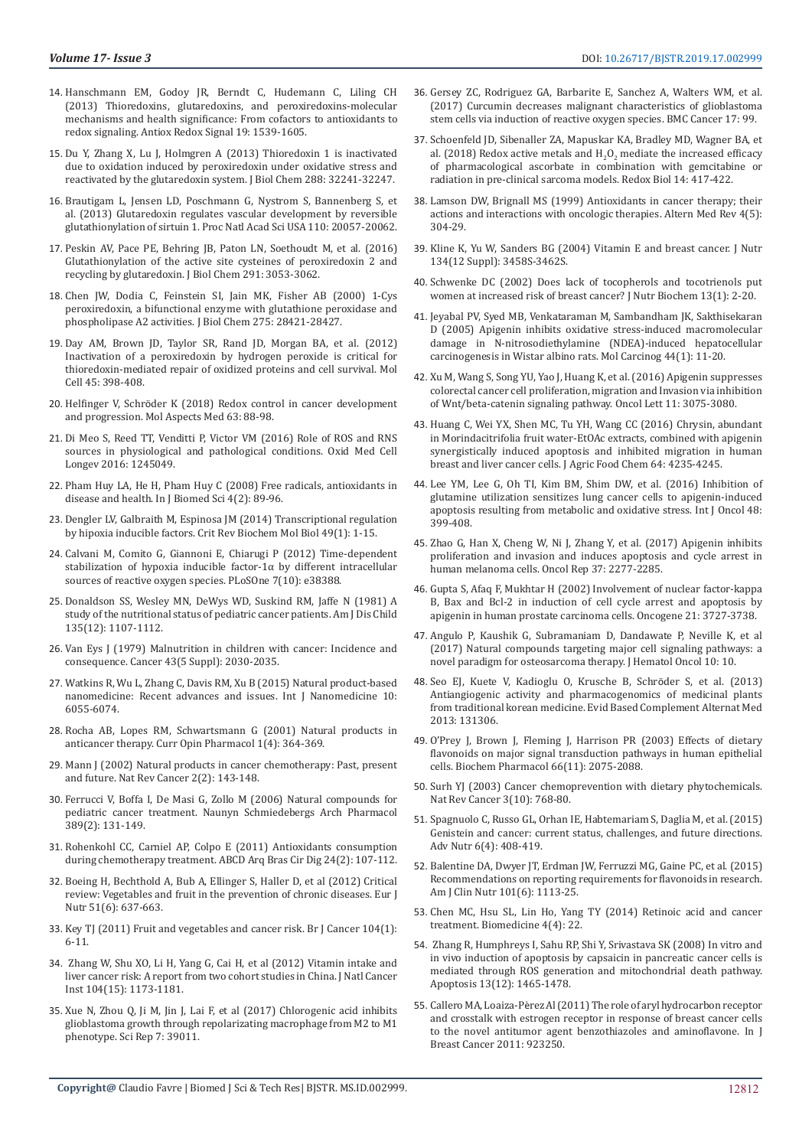- 14. [Hanschmann EM, Godoy JR, Berndt C, Hudemann C, Liling CH](https://www.ncbi.nlm.nih.gov/pubmed/23397885)  [\(2013\) Thioredoxins, glutaredoxins, and peroxiredoxins-molecular](https://www.ncbi.nlm.nih.gov/pubmed/23397885)  [mechanisms and health significance: From cofactors to antioxidants to](https://www.ncbi.nlm.nih.gov/pubmed/23397885)  [redox signaling. Antiox Redox Signal 19: 1539-1605.](https://www.ncbi.nlm.nih.gov/pubmed/23397885)
- 15. [Du Y, Zhang X, Lu J, Holmgren A \(2013\) Thioredoxin 1 is inactivated](https://www.ncbi.nlm.nih.gov/pubmed/24062305)  [due to oxidation induced by peroxiredoxin under oxidative stress and](https://www.ncbi.nlm.nih.gov/pubmed/24062305)  [reactivated by the glutaredoxin system. J Biol Chem 288: 32241-32247.](https://www.ncbi.nlm.nih.gov/pubmed/24062305)
- 16. [Brautigam L, Jensen LD, Poschmann G, Nystrom S, Bannenberg S, et](https://www.ncbi.nlm.nih.gov/pubmed/24277839)  [al. \(2013\) Glutaredoxin regulates vascular development by reversible](https://www.ncbi.nlm.nih.gov/pubmed/24277839)  [glutathionylation of sirtuin 1. Proc Natl Acad Sci USA 110: 20057-20062.](https://www.ncbi.nlm.nih.gov/pubmed/24277839)
- 17. [Peskin AV, Pace PE, Behring JB, Paton LN, Soethoudt M, et al. \(2016\)](https://www.ncbi.nlm.nih.gov/pubmed/26601956)  [Glutathionylation of the active site cysteines of peroxiredoxin 2 and](https://www.ncbi.nlm.nih.gov/pubmed/26601956)  [recycling by glutaredoxin. J Biol Chem 291: 3053-3062.](https://www.ncbi.nlm.nih.gov/pubmed/26601956)
- 18. [Chen JW, Dodia C, Feinstein SI, Jain MK, Fisher AB \(2000\) 1-Cys](https://www.ncbi.nlm.nih.gov/pubmed/10893423)  [peroxiredoxin, a bifunctional enzyme with glutathione peroxidase and](https://www.ncbi.nlm.nih.gov/pubmed/10893423)  [phospholipase A2 activities. J Biol Chem 275: 28421-28427.](https://www.ncbi.nlm.nih.gov/pubmed/10893423)
- 19. [Day AM, Brown JD, Taylor SR, Rand JD, Morgan BA, et al. \(2012\)](https://www.ncbi.nlm.nih.gov/pubmed/22245228)  [Inactivation of a peroxiredoxin by hydrogen peroxide is critical for](https://www.ncbi.nlm.nih.gov/pubmed/22245228)  [thioredoxin-mediated repair of oxidized proteins and cell survival. Mol](https://www.ncbi.nlm.nih.gov/pubmed/22245228)  [Cell 45: 398-408.](https://www.ncbi.nlm.nih.gov/pubmed/22245228)
- 20. Helfinger V, Schrö[der K \(2018\) Redox control in cancer development](https://www.ncbi.nlm.nih.gov/pubmed/29501614)  [and progression. Mol Aspects Med 63: 88-98.](https://www.ncbi.nlm.nih.gov/pubmed/29501614)
- 21. [Di Meo S, Reed TT, Venditti P, Victor VM \(2016\) Role of ROS and RNS](https://www.ncbi.nlm.nih.gov/pubmed/27478531)  [sources in physiological and pathological conditions. Oxid Med Cell](https://www.ncbi.nlm.nih.gov/pubmed/27478531)  [Longev 2016: 1245049.](https://www.ncbi.nlm.nih.gov/pubmed/27478531)
- 22. [Pham Huy LA, He H, Pham Huy C \(2008\) Free radicals, antioxidants in](https://www.ncbi.nlm.nih.gov/pmc/articles/PMC3614697/)  [disease and health. In J Biomed Sci 4\(2\): 89-96.](https://www.ncbi.nlm.nih.gov/pmc/articles/PMC3614697/)
- 23. [Dengler LV, Galbraith M, Espinosa JM \(2014\) Transcriptional regulation](https://www.ncbi.nlm.nih.gov/pubmed/24099156)  [by hipoxia inducible factors. Crit Rev Biochem Mol Biol 49\(1\): 1-15.](https://www.ncbi.nlm.nih.gov/pubmed/24099156)
- 24. [Calvani M, Comito G, Giannoni E, Chiarugi P \(2012\) Time-dependent](https://www.ncbi.nlm.nih.gov/pubmed/23144690)  [stabilization of hypoxia inducible factor-1α by different intracellular](https://www.ncbi.nlm.nih.gov/pubmed/23144690)  [sources of reactive oxygen species. PLoSOne 7\(10\): e38388.](https://www.ncbi.nlm.nih.gov/pubmed/23144690)
- 25. [Donaldson SS, Wesley MN, DeWys WD, Suskind RM, Jaffe N \(1981\) A](https://www.ncbi.nlm.nih.gov/pubmed/7315806)  [study of the nutritional status of pediatric cancer patients. Am J Dis Child](https://www.ncbi.nlm.nih.gov/pubmed/7315806)  [135\(12\): 1107-1112.](https://www.ncbi.nlm.nih.gov/pubmed/7315806)
- 26. [Van Eys J \(1979\) Malnutrition in children with cancer: Incidence and](https://www.ncbi.nlm.nih.gov/pubmed/109183)  [consequence. Cancer 43\(5 Suppl\): 2030-2035.](https://www.ncbi.nlm.nih.gov/pubmed/109183)
- 27. [Watkins R, Wu L, Zhang C, Davis RM, Xu B \(2015\) Natural product-based](https://www.ncbi.nlm.nih.gov/pubmed/26451111)  [nanomedicine: Recent advances and issues. Int J Nanomedicine 10:](https://www.ncbi.nlm.nih.gov/pubmed/26451111)  [6055-6074.](https://www.ncbi.nlm.nih.gov/pubmed/26451111)
- 28. [Rocha AB, Lopes RM, Schwartsmann G \(2001\) Natural products in](https://www.ncbi.nlm.nih.gov/pubmed/11710734)  [anticancer therapy. Curr Opin Pharmacol 1\(4\): 364-369.](https://www.ncbi.nlm.nih.gov/pubmed/11710734)
- 29. [Mann J \(2002\) Natural products in cancer chemotherapy: Past, present](https://www.ncbi.nlm.nih.gov/pubmed/12635177)  [and future. Nat Rev Cancer 2\(2\): 143-148.](https://www.ncbi.nlm.nih.gov/pubmed/12635177)
- 30. [Ferrucci V, Boffa I, De Masi G, Zollo M \(2006\) Natural compounds for](https://www.ncbi.nlm.nih.gov/pubmed/26650503)  [pediatric cancer treatment. Naunyn Schmiedebergs Arch Pharmacol](https://www.ncbi.nlm.nih.gov/pubmed/26650503)  [389\(2\): 131-149.](https://www.ncbi.nlm.nih.gov/pubmed/26650503)
- 31. [Rohenkohl CC, Carniel AP, Colpo E \(2011\) Antioxidants consumption](http://www.scielo.br/scielo.php?script=sci_arttext&pid=S0102-67202011000200004&lng=en&nrm=iso&tlng=en)  [during chemotherapy treatment. ABCD Arq Bras Cir Dig 24\(2\): 107-112.](http://www.scielo.br/scielo.php?script=sci_arttext&pid=S0102-67202011000200004&lng=en&nrm=iso&tlng=en)
- 32. [Boeing H, Bechthold A, Bub A, Ellinger S, Haller D, et al \(2012\) Critical](https://www.ncbi.nlm.nih.gov/pmc/articles/PMC3419346/)  [review: Vegetables and fruit in the prevention of chronic diseases. Eur J](https://www.ncbi.nlm.nih.gov/pmc/articles/PMC3419346/)  [Nutr 51\(6\): 637-663.](https://www.ncbi.nlm.nih.gov/pmc/articles/PMC3419346/)
- 33. [Key TJ \(2011\) Fruit and vegetables and cancer risk. Br J Cancer 104\(1\):](https://www.ncbi.nlm.nih.gov/pmc/articles/PMC3039795/)  [6-11.](https://www.ncbi.nlm.nih.gov/pmc/articles/PMC3039795/)
- 34. [Zhang W, Shu XO, Li H, Yang G, Cai H, et al \(2012\) Vitamin intake and](https://www.ncbi.nlm.nih.gov/pubmed/22811438)  [liver cancer risk: A report from two cohort studies in China. J Natl Cancer](https://www.ncbi.nlm.nih.gov/pubmed/22811438)  [Inst 104\(15\): 1173-1181.](https://www.ncbi.nlm.nih.gov/pubmed/22811438)
- 35. [Xue N, Zhou Q, Ji M, Jin J, Lai F, et al \(2017\) Chlorogenic acid inhibits](https://www.ncbi.nlm.nih.gov/pubmed/28045028)  [glioblastoma growth through repolarizating macrophage from M2 to M1](https://www.ncbi.nlm.nih.gov/pubmed/28045028)  [phenotype. Sci Rep 7: 39011.](https://www.ncbi.nlm.nih.gov/pubmed/28045028)
- 36. [Gersey ZC, Rodriguez GA, Barbarite E, Sanchez A, Walters WM, et al.](https://www.ncbi.nlm.nih.gov/pmc/articles/PMC5292151/) [\(2017\) Curcumin decreases malignant characteristics of glioblastoma](https://www.ncbi.nlm.nih.gov/pmc/articles/PMC5292151/) [stem cells via induction of reactive oxygen species. BMC Cancer 17: 99.](https://www.ncbi.nlm.nih.gov/pmc/articles/PMC5292151/)
- 37. [Schoenfeld JD, Sibenaller ZA, Mapuskar KA, Bradley MD, Wagner BA, et](https://www.ncbi.nlm.nih.gov/pubmed/29069637) al. (2018) Redox active metals and  $H_2O_2$  mediate the increased efficacy [of pharmacological ascorbate in combination with gemcitabine or](https://www.ncbi.nlm.nih.gov/pubmed/29069637) [radiation in pre-clinical sarcoma models. Redox Biol 14: 417-422.](https://www.ncbi.nlm.nih.gov/pubmed/29069637)
- 38. [Lamson DW, Brignall MS \(1999\) Antioxidants in cancer therapy; their](https://www.ncbi.nlm.nih.gov/pubmed/10559547) [actions and interactions with oncologic therapies. Altern Med Rev 4\(5\):](https://www.ncbi.nlm.nih.gov/pubmed/10559547) [304-29.](https://www.ncbi.nlm.nih.gov/pubmed/10559547)
- 39. [Kline K, Yu W, Sanders BG \(2004\) Vitamin E and breast cancer. J Nutr](https://www.ncbi.nlm.nih.gov/pubmed/15570054) [134\(12 Suppl\): 3458S-3462S.](https://www.ncbi.nlm.nih.gov/pubmed/15570054)
- 40. [Schwenke DC \(2002\) Does lack of tocopherols and tocotrienols put](https://www.ncbi.nlm.nih.gov/pubmed/11834215) [women at increased risk of breast cancer? J Nutr Biochem 13\(1\): 2-20.](https://www.ncbi.nlm.nih.gov/pubmed/11834215)
- 41. [Jeyabal PV, Syed MB, Venkataraman M, Sambandham JK, Sakthisekaran](https://www.ncbi.nlm.nih.gov/pubmed/15924350) [D \(2005\) Apigenin inhibits oxidative stress-induced macromolecular](https://www.ncbi.nlm.nih.gov/pubmed/15924350) [damage in N-nitrosodiethylamine \(NDEA\)-induced hepatocellular](https://www.ncbi.nlm.nih.gov/pubmed/15924350) [carcinogenesis in Wistar albino rats. Mol Carcinog 44\(1\): 11-20.](https://www.ncbi.nlm.nih.gov/pubmed/15924350)
- 42. [Xu M, Wang S, Song YU, Yao J, Huang K, et al. \(2016\) Apigenin suppresses](https://www.ncbi.nlm.nih.gov/pubmed/27123066) [colorectal cancer cell proliferation, migration and Invasion via inhibition](https://www.ncbi.nlm.nih.gov/pubmed/27123066) [of Wnt/beta-catenin signaling pathway. Oncol Lett 11: 3075-3080.](https://www.ncbi.nlm.nih.gov/pubmed/27123066)
- 43. [Huang C, Wei YX, Shen MC, Tu YH, Wang CC \(2016\) Chrysin, abundant](https://www.ncbi.nlm.nih.gov/pubmed/27137679) [in Morindacitrifolia fruit water-EtOAc extracts, combined with apigenin](https://www.ncbi.nlm.nih.gov/pubmed/27137679) [synergistically induced apoptosis and inhibited migration in human](https://www.ncbi.nlm.nih.gov/pubmed/27137679) [breast and liver cancer cells. J Agric Food Chem 64: 4235-4245.](https://www.ncbi.nlm.nih.gov/pubmed/27137679)
- 44. [Lee YM, Lee G, Oh TI, Kim BM, Shim DW, et al. \(2016\) Inhibition of](https://www.ncbi.nlm.nih.gov/pubmed/26573871) [glutamine utilization sensitizes lung cancer cells to apigenin-induced](https://www.ncbi.nlm.nih.gov/pubmed/26573871) [apoptosis resulting from metabolic and oxidative stress. Int J Oncol 48:](https://www.ncbi.nlm.nih.gov/pubmed/26573871) [399-408.](https://www.ncbi.nlm.nih.gov/pubmed/26573871)
- 45. [Zhao G, Han X, Cheng W, Ni J, Zhang Y, et al. \(2017\) Apigenin inhibits](https://www.ncbi.nlm.nih.gov/pubmed/28260058) [proliferation and invasion and induces apoptosis and cycle arrest in](https://www.ncbi.nlm.nih.gov/pubmed/28260058) [human melanoma cells. Oncol Rep 37: 2277-2285.](https://www.ncbi.nlm.nih.gov/pubmed/28260058)
- 46. [Gupta S, Afaq F, Mukhtar H \(2002\) Involvement of nuclear factor-kappa](https://www.ncbi.nlm.nih.gov/pubmed/12032841) [B, Bax and Bcl-2 in induction of cell cycle arrest and apoptosis by](https://www.ncbi.nlm.nih.gov/pubmed/12032841) [apigenin in human prostate carcinoma cells. Oncogene 21: 3727-3738.](https://www.ncbi.nlm.nih.gov/pubmed/12032841)
- 47. [Angulo P, Kaushik G, Subramaniam D, Dandawate P, Neville K, et al](https://www.ncbi.nlm.nih.gov/pubmed/28061797) [\(2017\) Natural compounds targeting major cell signaling pathways: a](https://www.ncbi.nlm.nih.gov/pubmed/28061797) [novel paradigm for osteosarcoma therapy. J Hematol Oncol 10: 10.](https://www.ncbi.nlm.nih.gov/pubmed/28061797)
- 48. [Seo EJ, Kuete V, Kadioglu O, Krusche B, Schr](https://www.ncbi.nlm.nih.gov/pubmed/23970927)öder S, et al. (2013) [Antiangiogenic activity and pharmacogenomics of medicinal plants](https://www.ncbi.nlm.nih.gov/pubmed/23970927) [from traditional korean medicine. Evid Based Complement Alternat Med](https://www.ncbi.nlm.nih.gov/pubmed/23970927) [2013: 131306.](https://www.ncbi.nlm.nih.gov/pubmed/23970927)
- 49. [O'Prey J, Brown J, Fleming J, Harrison PR \(2003\) Effects of dietary](https://www.ncbi.nlm.nih.gov/pubmed/14609732) [flavonoids on major signal transduction pathways in human epithelial](https://www.ncbi.nlm.nih.gov/pubmed/14609732) [cells. Biochem Pharmacol 66\(11\): 2075-2088.](https://www.ncbi.nlm.nih.gov/pubmed/14609732)
- 50. [Surh YJ \(2003\) Cancer chemoprevention with dietary phytochemicals.](https://www.ncbi.nlm.nih.gov/pubmed/14570043) [Nat Rev Cancer 3\(10\): 768-80.](https://www.ncbi.nlm.nih.gov/pubmed/14570043)
- 51. [Spagnuolo C, Russo GL, Orhan IE, Habtemariam S, Daglia M, et al. \(2015\)](https://www.ncbi.nlm.nih.gov/pubmed/26178025) [Genistein and cancer: current status, challenges, and future directions.](https://www.ncbi.nlm.nih.gov/pubmed/26178025) [Adv Nutr 6\(4\): 408-419.](https://www.ncbi.nlm.nih.gov/pubmed/26178025)
- 52. [Balentine DA, Dwyer JT, Erdman JW, Ferruzzi MG, Gaine PC, et al. \(2015\)](https://www.ncbi.nlm.nih.gov/pubmed/25854881) [Recommendations on reporting requirements for flavonoids in research.](https://www.ncbi.nlm.nih.gov/pubmed/25854881) [Am J Clin Nutr 101\(6\): 1113-25.](https://www.ncbi.nlm.nih.gov/pubmed/25854881)
- 53. [Chen MC, Hsu SL, Lin Ho, Yang TY \(2014\) Retinoic acid and cancer](https://www.ncbi.nlm.nih.gov/pmc/articles/PMC4265016/) [treatment. Biomedicine 4\(4\): 22.](https://www.ncbi.nlm.nih.gov/pmc/articles/PMC4265016/)
- 54. [Zhang R, Humphreys I, Sahu RP, Shi Y, Srivastava SK \(2008\) In vitro and](https://www.ncbi.nlm.nih.gov/pubmed/19002586) [in vivo induction of apoptosis by capsaicin in pancreatic cancer cells is](https://www.ncbi.nlm.nih.gov/pubmed/19002586) [mediated through ROS generation and mitochondrial death pathway.](https://www.ncbi.nlm.nih.gov/pubmed/19002586) [Apoptosis 13\(12\): 1465-1478.](https://www.ncbi.nlm.nih.gov/pubmed/19002586)
- 55. Callero MA, Loaiza-Pè[rez Al \(2011\) The role of aryl hydrocarbon receptor](https://www.ncbi.nlm.nih.gov/pubmed/22295239) [and crosstalk with estrogen receptor in response of breast cancer cells](https://www.ncbi.nlm.nih.gov/pubmed/22295239) [to the novel antitumor agent benzothiazoles and aminoflavone. In J](https://www.ncbi.nlm.nih.gov/pubmed/22295239) [Breast Cancer 2011: 923250.](https://www.ncbi.nlm.nih.gov/pubmed/22295239)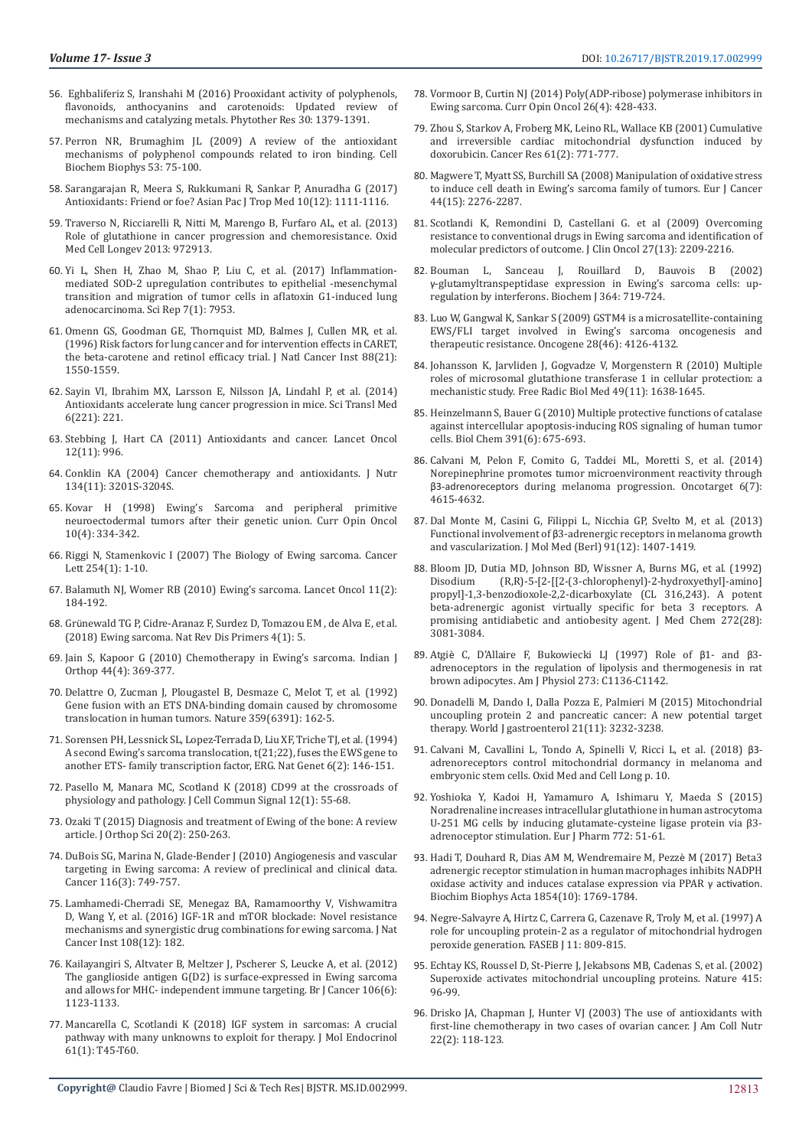- 56. [Eghbaliferiz S, Iranshahi M \(2016\) Prooxidant activity of polyphenols,](https://www.ncbi.nlm.nih.gov/pubmed/27241122)  [flavonoids, anthocyanins and carotenoids: Updated review of](https://www.ncbi.nlm.nih.gov/pubmed/27241122)  [mechanisms and catalyzing metals. Phytother Res 30: 1379-1391.](https://www.ncbi.nlm.nih.gov/pubmed/27241122)
- 57. [Perron NR, Brumaghim JL \(2009\) A review of the antioxidant](https://www.ncbi.nlm.nih.gov/pubmed/19184542)  [mechanisms of polyphenol compounds related to iron binding. Cell](https://www.ncbi.nlm.nih.gov/pubmed/19184542)  [Biochem Biophys 53: 75-100.](https://www.ncbi.nlm.nih.gov/pubmed/19184542)
- 58. [Sarangarajan R, Meera S, Rukkumani R, Sankar P, Anuradha G \(2017\)](https://www.ncbi.nlm.nih.gov/pmc/articles/PMC2703266/)  [Antioxidants: Friend or foe? Asian Pac J Trop Med 10\(12\): 1111-1116.](https://www.ncbi.nlm.nih.gov/pmc/articles/PMC2703266/)
- 59. [Traverso N, Ricciarelli R, Nitti M, Marengo B, Furfaro AL, et al. \(2013\)](https://www.hindawi.com/journals/omcl/2013/972913/)  [Role of glutathione in cancer progression and chemoresistance. Oxid](https://www.hindawi.com/journals/omcl/2013/972913/)  [Med Cell Longev 2013: 972913.](https://www.hindawi.com/journals/omcl/2013/972913/)
- 60. Yi L, Shen H, Zhao M, Shao P, Liu C, et al. (2017) Inflammationmediated SOD-2 upregulation contributes to epithelial -mesenchymal transition and migration of tumor cells in aflatoxin G1-induced lung adenocarcinoma. Sci Rep 7(1): 7953.
- 61. [Omenn GS, Goodman GE, Thornquist MD, Balmes J, Cullen MR, et al.](https://www.ncbi.nlm.nih.gov/pubmed/8901853)  [\(1996\) Risk factors for lung cancer and for intervention effects in CARET,](https://www.ncbi.nlm.nih.gov/pubmed/8901853)  [the beta-carotene and retinol efficacy trial. J Natl Cancer Inst 88\(21\):](https://www.ncbi.nlm.nih.gov/pubmed/8901853)  [1550-1559.](https://www.ncbi.nlm.nih.gov/pubmed/8901853)
- 62. [Sayin VI, Ibrahim MX, Larsson E, Nilsson JA, Lindahl P, et al. \(2014\)](https://www.ncbi.nlm.nih.gov/pubmed/24477002)  [Antioxidants accelerate lung cancer progression in mice. Sci Transl Med](https://www.ncbi.nlm.nih.gov/pubmed/24477002)  [6\(221\): 221.](https://www.ncbi.nlm.nih.gov/pubmed/24477002)
- 63. [Stebbing J, Hart CA \(2011\) Antioxidants and cancer. Lancet Oncol](https://www.ncbi.nlm.nih.gov/pubmed/21968225)  [12\(11\): 996.](https://www.ncbi.nlm.nih.gov/pubmed/21968225)
- 64. [Conklin KA \(2004\) Cancer chemotherapy and antioxidants. J Nutr](https://www.ncbi.nlm.nih.gov/pubmed/15514307)  [134\(11\): 3201S-3204S.](https://www.ncbi.nlm.nih.gov/pubmed/15514307)
- 65. [Kovar H \(1998\) Ewing's Sarcoma and peripheral primitive](https://www.ncbi.nlm.nih.gov/pubmed/9702401)  [neuroectodermal tumors after their genetic union. Curr Opin Oncol](https://www.ncbi.nlm.nih.gov/pubmed/9702401)  [10\(4\): 334-342.](https://www.ncbi.nlm.nih.gov/pubmed/9702401)
- 66. [Riggi N, Stamenkovic I \(2007\) The Biology of Ewing sarcoma. Cancer](https://www.ncbi.nlm.nih.gov/pubmed/17250957)  [Lett 254\(1\): 1-10.](https://www.ncbi.nlm.nih.gov/pubmed/17250957)
- 67. [Balamuth NJ, Womer RB \(2010\) Ewing's sarcoma. Lancet Oncol 11\(2\):](https://www.ncbi.nlm.nih.gov/pubmed/20152770)  [184-192.](https://www.ncbi.nlm.nih.gov/pubmed/20152770)
- 68. Grünewald TG P, Cidre-Aranaz F, Surdez D, Tomazou EM , de Alva E, et al. (2018) Ewing sarcoma. Nat Rev Dis Primers 4(1): 5.
- 69. [Jain S, Kapoor G \(2010\) Chemotherapy in Ewing's sarcoma. Indian J](https://www.ncbi.nlm.nih.gov/pmc/articles/PMC2947722/)  [Orthop 44\(4\): 369-377.](https://www.ncbi.nlm.nih.gov/pmc/articles/PMC2947722/)
- 70. [Delattre O, Zucman J, Plougastel B, Desmaze C, Melot T, et al. \(1992\)](https://www.ncbi.nlm.nih.gov/pubmed/1522903)  [Gene fusion with an ETS DNA-binding domain caused by chromosome](https://www.ncbi.nlm.nih.gov/pubmed/1522903)  [translocation in human tumors. Nature 359\(6391\): 162-5.](https://www.ncbi.nlm.nih.gov/pubmed/1522903)
- 71. [Sorensen PH, Lessnick SL, Lopez-Terrada D, Liu XF, Triche TJ, et al. \(1994\)](https://www.ncbi.nlm.nih.gov/pubmed/8162068)  [A second Ewing's sarcoma translocation, t\(21;22\), fuses the EWS gene to](https://www.ncbi.nlm.nih.gov/pubmed/8162068)  [another ETS- family transcription factor, ERG. Nat Genet 6\(2\): 146-151.](https://www.ncbi.nlm.nih.gov/pubmed/8162068)
- 72. [Pasello M, Manara MC, Scotland K \(2018\) CD99 at the crossroads of](https://www.ncbi.nlm.nih.gov/pubmed/29305692)  [physiology and pathology. J Cell Commun Signal 12\(1\): 55-68.](https://www.ncbi.nlm.nih.gov/pubmed/29305692)
- 73. [Ozaki T \(2015\) Diagnosis and treatment of Ewing of the bone: A review](https://www.ncbi.nlm.nih.gov/pubmed/25691401)  [article. J Orthop Sci 20\(2\): 250-263.](https://www.ncbi.nlm.nih.gov/pubmed/25691401)
- 74. [DuBois SG, Marina N, Glade-Bender J \(2010\) Angiogenesis and vascular](https://www.ncbi.nlm.nih.gov/pubmed/20029966)  [targeting in Ewing sarcoma: A review of preclinical and clinical data.](https://www.ncbi.nlm.nih.gov/pubmed/20029966)  [Cancer 116\(3\): 749-757.](https://www.ncbi.nlm.nih.gov/pubmed/20029966)
- 75. [Lamhamedi-Cherradi SE, Menegaz BA, Ramamoorthy V, Vishwamitra](https://www.ncbi.nlm.nih.gov/pubmed/27576731)  [D, Wang Y, et al. \(2016\) IGF-1R and mTOR blockade: Novel resistance](https://www.ncbi.nlm.nih.gov/pubmed/27576731)  [mechanisms and synergistic drug combinations for ewing sarcoma. J Nat](https://www.ncbi.nlm.nih.gov/pubmed/27576731)  [Cancer Inst 108\(12\): 182.](https://www.ncbi.nlm.nih.gov/pubmed/27576731)
- 76. [Kailayangiri S, Altvater B, Meltzer J, Pscherer S, Leucke A, et al. \(2012\)](https://www.ncbi.nlm.nih.gov/pubmed/22374462)  [The ganglioside antigen G\(D2\) is surface-expressed in Ewing sarcoma](https://www.ncbi.nlm.nih.gov/pubmed/22374462)  [and allows for MHC- independent immune targeting. Br J Cancer 106\(6\):](https://www.ncbi.nlm.nih.gov/pubmed/22374462)  [1123-1133.](https://www.ncbi.nlm.nih.gov/pubmed/22374462)
- 77. [Mancarella C, Scotlandi K \(2018\) IGF system in sarcomas: A crucial](https://www.ncbi.nlm.nih.gov/pubmed/29273680)  [pathway with many unknowns to exploit for therapy. J Mol Endocrinol](https://www.ncbi.nlm.nih.gov/pubmed/29273680)  [61\(1\): T45-T60.](https://www.ncbi.nlm.nih.gov/pubmed/29273680)
- 78. [Vormoor B, Curtin NJ \(2014\) Poly\(ADP-ribose\) polymerase inhibitors in](https://www.ncbi.nlm.nih.gov/pubmed/24840521) [Ewing sarcoma. Curr Opin Oncol 26\(4\): 428-433.](https://www.ncbi.nlm.nih.gov/pubmed/24840521)
- 79. [Zhou S, Starkov A, Froberg MK, Leino RL, Wallace KB \(2001\) Cumulative](https://www.ncbi.nlm.nih.gov/pubmed/11212281) [and irreversible cardiac mitochondrial dysfunction induced by](https://www.ncbi.nlm.nih.gov/pubmed/11212281) [doxorubicin. Cancer Res 61\(2\): 771-777.](https://www.ncbi.nlm.nih.gov/pubmed/11212281)
- 80. [Magwere T, Myatt SS, Burchill SA \(2008\) Manipulation of oxidative stress](https://www.ncbi.nlm.nih.gov/pubmed/18656345) [to induce cell death in Ewing's sarcoma family of tumors. Eur J Cancer](https://www.ncbi.nlm.nih.gov/pubmed/18656345) [44\(15\): 2276-2287.](https://www.ncbi.nlm.nih.gov/pubmed/18656345)
- 81. [Scotlandi K, Remondini D, Castellani G. et al \(2009\) Overcoming](https://www.ncbi.nlm.nih.gov/pubmed/19307502) [resistance to conventional drugs in Ewing sarcoma and identification of](https://www.ncbi.nlm.nih.gov/pubmed/19307502) [molecular predictors of outcome. J Clin Oncol 27\(13\): 2209-2216.](https://www.ncbi.nlm.nih.gov/pubmed/19307502)
- 82. [Bouman L, Sanceau J, Rouillard D, Bauvois B \(2002\)](https://www.ncbi.nlm.nih.gov/pmc/articles/PMC1222621/) γ[-glutamyltranspeptidase expression in Ewing's sarcoma cells: up](https://www.ncbi.nlm.nih.gov/pmc/articles/PMC1222621/)[regulation by interferons. Biochem J 364: 719-724.](https://www.ncbi.nlm.nih.gov/pmc/articles/PMC1222621/)
- 83. [Luo W, Gangwal K, Sankar S \(2009\) GSTM4 is a microsatellite-containing](https://www.ncbi.nlm.nih.gov/pubmed/19718047) [EWS/FLI target involved in Ewing's sarcoma oncogenesis and](https://www.ncbi.nlm.nih.gov/pubmed/19718047) [therapeutic resistance. Oncogene 28\(46\): 4126-4132.](https://www.ncbi.nlm.nih.gov/pubmed/19718047)
- 84. [Johansson K, Jarvliden J, Gogvadze V, Morgenstern R \(2010\) Multiple](https://www.ncbi.nlm.nih.gov/pubmed/20727966) [roles of microsomal glutathione transferase 1 in cellular protection: a](https://www.ncbi.nlm.nih.gov/pubmed/20727966) [mechanistic study. Free Radic Biol Med 49\(11\): 1638-1645.](https://www.ncbi.nlm.nih.gov/pubmed/20727966)
- 85. [Heinzelmann S, Bauer G \(2010\) Multiple protective functions of catalase](https://www.ncbi.nlm.nih.gov/pubmed/20370323) [against intercellular apoptosis-inducing ROS signaling of human tumor](https://www.ncbi.nlm.nih.gov/pubmed/20370323) [cells. Biol Chem 391\(6\): 675-693.](https://www.ncbi.nlm.nih.gov/pubmed/20370323)
- 86. [Calvani M, Pelon F, Comito G, Taddei ML, Moretti S, et al. \(2014\)](https://www.ncbi.nlm.nih.gov/pubmed/25474135) [Norepinephrine promotes tumor microenvironment reactivity through](https://www.ncbi.nlm.nih.gov/pubmed/25474135) β3-adrenoreceptors [during melanoma progression. Oncotarget 6\(7\):](https://www.ncbi.nlm.nih.gov/pubmed/25474135) [4615-4632.](https://www.ncbi.nlm.nih.gov/pubmed/25474135)
- 87. [Dal Monte M, Casini G, Filippi L, Nicchia GP, Svelto M, et al. \(2013\)](https://www.ncbi.nlm.nih.gov/pubmed/23907236) Functional involvement of β[3-adrenergic receptors in melanoma growth](https://www.ncbi.nlm.nih.gov/pubmed/23907236) [and vascularization. J Mol Med \(Berl\) 91\(12\): 1407-1419.](https://www.ncbi.nlm.nih.gov/pubmed/23907236)
- 88. [Bloom JD, Dutia MD, Johnson BD, Wissner A, Burns MG, et al. \(1992\)](https://www.ncbi.nlm.nih.gov/pubmed/1354264) [Disodium \(R,R\)-5-\[2-\[\[2-\(3-chlorophenyl\)-2-hydroxyethyl\]-amino\]](https://www.ncbi.nlm.nih.gov/pubmed/1354264) [propyl\]-1,3-benzodioxole-2,2-dicarboxylate \(CL 316,243\). A potent](https://www.ncbi.nlm.nih.gov/pubmed/1354264) [beta-adrenergic agonist virtually specific for beta 3 receptors. A](https://www.ncbi.nlm.nih.gov/pubmed/1354264) [promising antidiabetic and antiobesity agent. J Med Chem 272\(28\):](https://www.ncbi.nlm.nih.gov/pubmed/1354264) [3081-3084.](https://www.ncbi.nlm.nih.gov/pubmed/1354264)
- 89. Atgiè [C, D'Allaire F, Bukowiecki LJ \(1997\) Role of](https://www.physiology.org/doi/full/10.1152/ajpcell.1997.273.4.C1136/) β1- and β3 [adrenoceptors in the regulation of lipolysis and thermogenesis in rat](https://www.physiology.org/doi/full/10.1152/ajpcell.1997.273.4.C1136/) [brown adipocytes. Am J Physiol 273: C1136-C1142.](https://www.physiology.org/doi/full/10.1152/ajpcell.1997.273.4.C1136/)
- 90. [Donadelli M, Dando I, Dalla Pozza E, Palmieri M \(2015\) Mitochondrial](https://www.ncbi.nlm.nih.gov/pubmed/25805929) [uncoupling protein 2 and pancreatic cancer: A new potential target](https://www.ncbi.nlm.nih.gov/pubmed/25805929) [therapy. World J gastroenterol 21\(11\): 3232-3238.](https://www.ncbi.nlm.nih.gov/pubmed/25805929)
- 91. [Calvani M, Cavallini L, Tondo A, Spinelli V, Ricci L, et al. \(2018\)](https://www.hindawi.com/journals/omcl/2018/6816508/) β3 [adrenoreceptors control mitochondrial dormancy in melanoma and](https://www.hindawi.com/journals/omcl/2018/6816508/) [embryonic stem cells. Oxid Med and Cell Long p. 10.](https://www.hindawi.com/journals/omcl/2018/6816508/)
- 92. [Yoshioka Y, Kadoi H, Yamamuro A, Ishimaru Y, Maeda S \(2015\)](https://www.ncbi.nlm.nih.gov/pubmed/26724392) [Noradrenaline increases intracellular glutathione in human astrocytoma](https://www.ncbi.nlm.nih.gov/pubmed/26724392) [U-251 MG cells by inducing glutamate-cysteine ligase protein via β3](https://www.ncbi.nlm.nih.gov/pubmed/26724392) [adrenoceptor stimulation. Eur J Pharm 772: 51-61.](https://www.ncbi.nlm.nih.gov/pubmed/26724392)
- 93. [Hadi T, Douhard R, Dias AM M, Wendremaire M, Pezz](https://www.ncbi.nlm.nih.gov/pubmed/28723418)è M (2017) Beta3 [adrenergic receptor stimulation in human macrophages inhibits NADPH](https://www.ncbi.nlm.nih.gov/pubmed/28723418) [oxidase activity and induces catalase expression via PPAR](https://www.ncbi.nlm.nih.gov/pubmed/28723418) γ activation. [Biochim Biophys Acta 1854\(10\): 1769-1784.](https://www.ncbi.nlm.nih.gov/pubmed/28723418)
- 94. [Negre-Salvayre A, Hirtz C, Carrera G, Cazenave R, Troly M, et al. \(1997\) A](https://www.ncbi.nlm.nih.gov/pubmed/9271366) [role for uncoupling protein-2 as a regulator of mitochondrial hydrogen](https://www.ncbi.nlm.nih.gov/pubmed/9271366) [peroxide generation. FASEB J 11: 809-815.](https://www.ncbi.nlm.nih.gov/pubmed/9271366)
- 95. [Echtay KS, Roussel D, St-Pierre J, Jekabsons MB, Cadenas S, et al. \(2002\)](https://www.ncbi.nlm.nih.gov/pubmed/11780125) [Superoxide activates mitochondrial uncoupling proteins. Nature 415:](https://www.ncbi.nlm.nih.gov/pubmed/11780125) [96-99.](https://www.ncbi.nlm.nih.gov/pubmed/11780125)
- 96. [Drisko JA, Chapman J, Hunter VJ \(2003\) The use of antioxidants with](https://www.ncbi.nlm.nih.gov/pubmed/12672707) [first-line chemotherapy in two cases of ovarian cancer. J Am Coll Nutr](https://www.ncbi.nlm.nih.gov/pubmed/12672707) [22\(2\): 118-123](https://www.ncbi.nlm.nih.gov/pubmed/12672707).